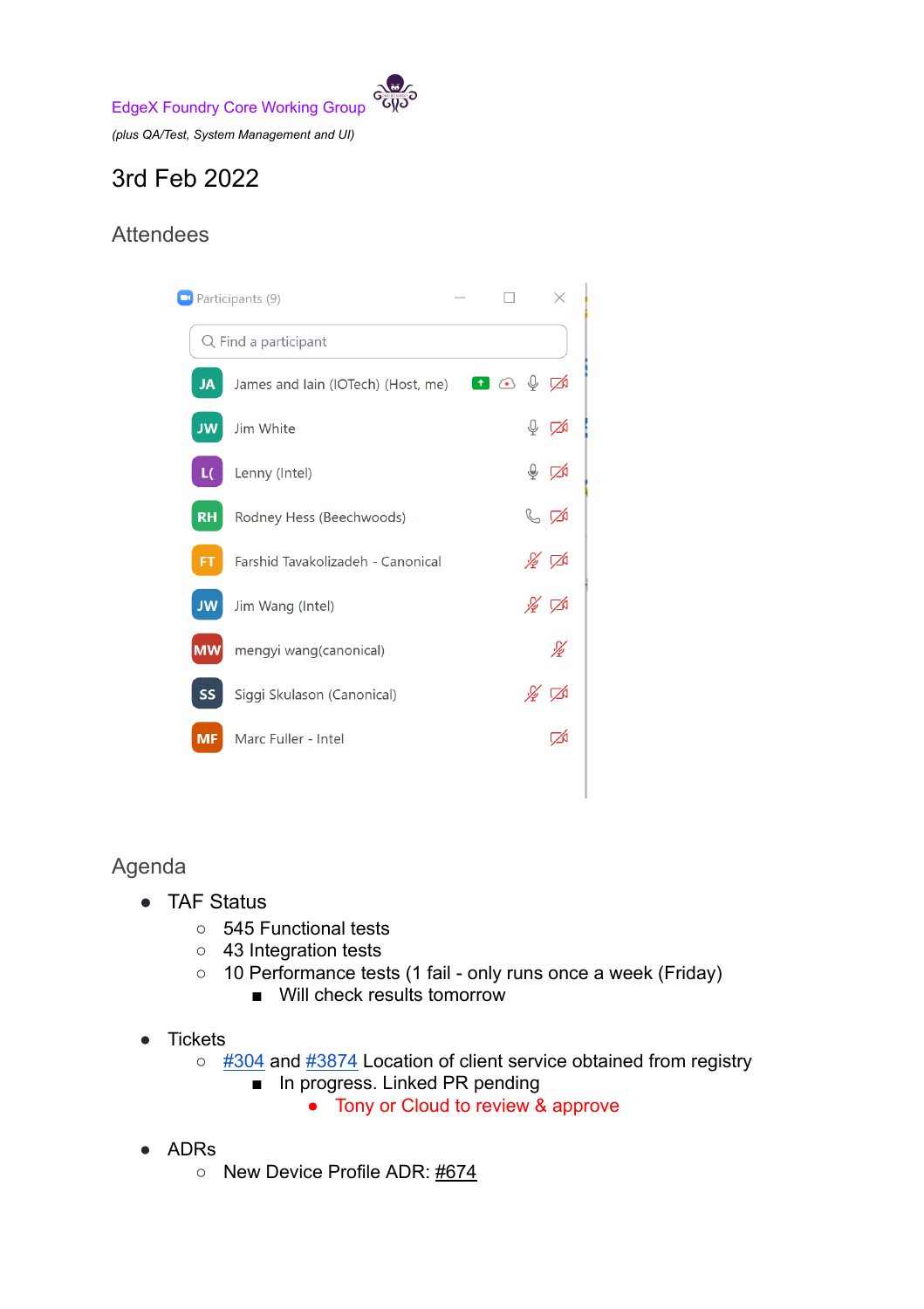

*(plus QA/Test, System Management and UI)*

## 3rd Feb 2022

## Attendees



## Agenda

- TAF Status
	- 545 Functional tests
	- 43 Integration tests
	- 10 Performance tests (1 fail only runs once a week (Friday)
		- Will check results tomorrow
- Tickets
	- [#304](https://github.com/edgexfoundry/go-mod-bootstrap/issues/304) and [#3874](https://github.com/edgexfoundry/edgex-go/issues/3874) Location of client service obtained from registry
		- In progress. Linked PR pending
			- Tony or Cloud to review & approve
- ADRs
	- New Device Profile ADR: [#674](https://github.com/edgexfoundry/edgex-docs/pull/674)